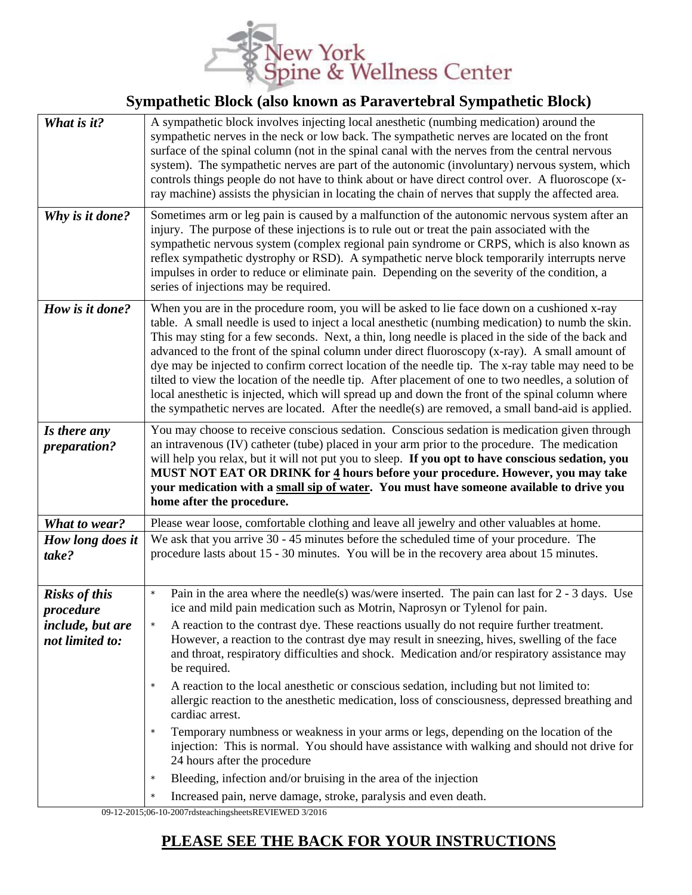

## **Sympathetic Block (also known as Paravertebral Sympathetic Block)**

| What is it?                                | A sympathetic block involves injecting local anesthetic (numbing medication) around the<br>sympathetic nerves in the neck or low back. The sympathetic nerves are located on the front<br>surface of the spinal column (not in the spinal canal with the nerves from the central nervous<br>system). The sympathetic nerves are part of the autonomic (involuntary) nervous system, which<br>controls things people do not have to think about or have direct control over. A fluoroscope (x-<br>ray machine) assists the physician in locating the chain of nerves that supply the affected area.                                                                                                                                                                                                                           |
|--------------------------------------------|------------------------------------------------------------------------------------------------------------------------------------------------------------------------------------------------------------------------------------------------------------------------------------------------------------------------------------------------------------------------------------------------------------------------------------------------------------------------------------------------------------------------------------------------------------------------------------------------------------------------------------------------------------------------------------------------------------------------------------------------------------------------------------------------------------------------------|
| Why is it done?                            | Sometimes arm or leg pain is caused by a malfunction of the autonomic nervous system after an<br>injury. The purpose of these injections is to rule out or treat the pain associated with the<br>sympathetic nervous system (complex regional pain syndrome or CRPS, which is also known as<br>reflex sympathetic dystrophy or RSD). A sympathetic nerve block temporarily interrupts nerve<br>impulses in order to reduce or eliminate pain. Depending on the severity of the condition, a<br>series of injections may be required.                                                                                                                                                                                                                                                                                         |
| How is it done?                            | When you are in the procedure room, you will be asked to lie face down on a cushioned x-ray<br>table. A small needle is used to inject a local anesthetic (numbing medication) to numb the skin.<br>This may sting for a few seconds. Next, a thin, long needle is placed in the side of the back and<br>advanced to the front of the spinal column under direct fluoroscopy (x-ray). A small amount of<br>dye may be injected to confirm correct location of the needle tip. The x-ray table may need to be<br>tilted to view the location of the needle tip. After placement of one to two needles, a solution of<br>local anesthetic is injected, which will spread up and down the front of the spinal column where<br>the sympathetic nerves are located. After the needle(s) are removed, a small band-aid is applied. |
| Is there any<br>preparation?               | You may choose to receive conscious sedation. Conscious sedation is medication given through<br>an intravenous (IV) catheter (tube) placed in your arm prior to the procedure. The medication<br>will help you relax, but it will not put you to sleep. If you opt to have conscious sedation, you<br>MUST NOT EAT OR DRINK for 4 hours before your procedure. However, you may take<br>your medication with a small sip of water. You must have someone available to drive you                                                                                                                                                                                                                                                                                                                                              |
|                                            | home after the procedure.                                                                                                                                                                                                                                                                                                                                                                                                                                                                                                                                                                                                                                                                                                                                                                                                    |
|                                            |                                                                                                                                                                                                                                                                                                                                                                                                                                                                                                                                                                                                                                                                                                                                                                                                                              |
| What to wear?<br>How long does it<br>take? | Please wear loose, comfortable clothing and leave all jewelry and other valuables at home.<br>We ask that you arrive 30 - 45 minutes before the scheduled time of your procedure. The<br>procedure lasts about 15 - 30 minutes. You will be in the recovery area about 15 minutes.                                                                                                                                                                                                                                                                                                                                                                                                                                                                                                                                           |
| <b>Risks of this</b><br>procedure          | Pain in the area where the needle(s) was/were inserted. The pain can last for $2 - 3$ days. Use<br>$\star$<br>ice and mild pain medication such as Motrin, Naprosyn or Tylenol for pain.                                                                                                                                                                                                                                                                                                                                                                                                                                                                                                                                                                                                                                     |
| <i>include, but are</i><br>not limited to: | A reaction to the contrast dye. These reactions usually do not require further treatment.<br>However, a reaction to the contrast dye may result in sneezing, hives, swelling of the face<br>and throat, respiratory difficulties and shock. Medication and/or respiratory assistance may<br>be required.                                                                                                                                                                                                                                                                                                                                                                                                                                                                                                                     |
|                                            | A reaction to the local anesthetic or conscious sedation, including but not limited to:<br>allergic reaction to the anesthetic medication, loss of consciousness, depressed breathing and<br>cardiac arrest.                                                                                                                                                                                                                                                                                                                                                                                                                                                                                                                                                                                                                 |
|                                            | $\star$<br>Temporary numbness or weakness in your arms or legs, depending on the location of the<br>injection: This is normal. You should have assistance with walking and should not drive for<br>24 hours after the procedure                                                                                                                                                                                                                                                                                                                                                                                                                                                                                                                                                                                              |
|                                            | Bleeding, infection and/or bruising in the area of the injection<br>$\star$                                                                                                                                                                                                                                                                                                                                                                                                                                                                                                                                                                                                                                                                                                                                                  |

09-12-2015;06-10-2007rdsteachingsheetsREVIEWED 3/2016

## **PLEASE SEE THE BACK FOR YOUR INSTRUCTIONS**